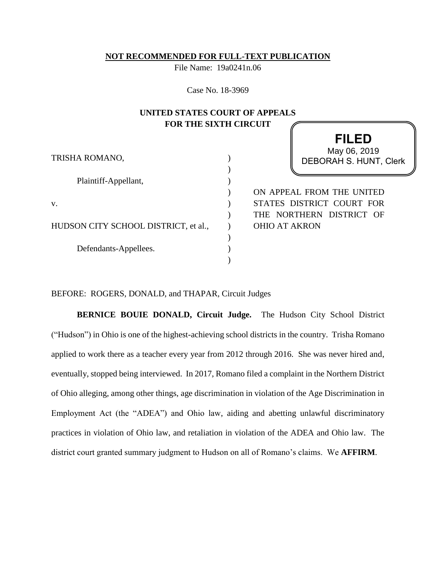### **NOT RECOMMENDED FOR FULL-TEXT PUBLICATION**

File Name: 19a0241n.06

Case No. 18-3969

# **UNITED STATES COURT OF APPEALS FOR THE SIXTH CIRCUIT**

| TRISHA ROMANO,                       |  |
|--------------------------------------|--|
| Plaintiff-Appellant,                 |  |
|                                      |  |
| V.                                   |  |
| HUDSON CITY SCHOOL DISTRICT, et al., |  |
| Defendants-Appellees.                |  |
|                                      |  |

**FILED** DEBORAH S. HUNT, Clerk May 06, 2019

ON APPEAL FROM THE UNITED STATES DISTRICT COURT FOR THE NORTHERN DISTRICT OF OHIO AT AKRON

## BEFORE: ROGERS, DONALD, and THAPAR, Circuit Judges

**BERNICE BOUIE DONALD, Circuit Judge.** The Hudson City School District ("Hudson") in Ohio is one of the highest-achieving school districts in the country. Trisha Romano applied to work there as a teacher every year from 2012 through 2016. She was never hired and, eventually, stopped being interviewed. In 2017, Romano filed a complaint in the Northern District of Ohio alleging, among other things, age discrimination in violation of the Age Discrimination in Employment Act (the "ADEA") and Ohio law, aiding and abetting unlawful discriminatory practices in violation of Ohio law, and retaliation in violation of the ADEA and Ohio law. The district court granted summary judgment to Hudson on all of Romano's claims. We **AFFIRM**.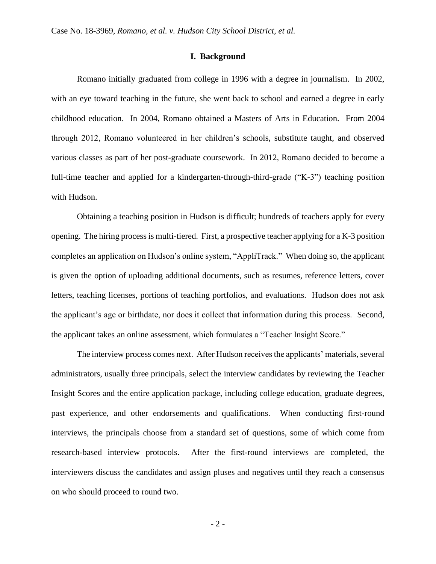#### **I. Background**

Romano initially graduated from college in 1996 with a degree in journalism. In 2002, with an eye toward teaching in the future, she went back to school and earned a degree in early childhood education. In 2004, Romano obtained a Masters of Arts in Education. From 2004 through 2012, Romano volunteered in her children's schools, substitute taught, and observed various classes as part of her post-graduate coursework. In 2012, Romano decided to become a full-time teacher and applied for a kindergarten-through-third-grade ("K-3") teaching position with Hudson.

Obtaining a teaching position in Hudson is difficult; hundreds of teachers apply for every opening. The hiring process is multi-tiered. First, a prospective teacher applying for a K-3 position completes an application on Hudson's online system, "AppliTrack." When doing so, the applicant is given the option of uploading additional documents, such as resumes, reference letters, cover letters, teaching licenses, portions of teaching portfolios, and evaluations. Hudson does not ask the applicant's age or birthdate, nor does it collect that information during this process. Second, the applicant takes an online assessment, which formulates a "Teacher Insight Score."

The interview process comes next. After Hudson receives the applicants' materials, several administrators, usually three principals, select the interview candidates by reviewing the Teacher Insight Scores and the entire application package, including college education, graduate degrees, past experience, and other endorsements and qualifications. When conducting first-round interviews, the principals choose from a standard set of questions, some of which come from research-based interview protocols. After the first-round interviews are completed, the interviewers discuss the candidates and assign pluses and negatives until they reach a consensus on who should proceed to round two.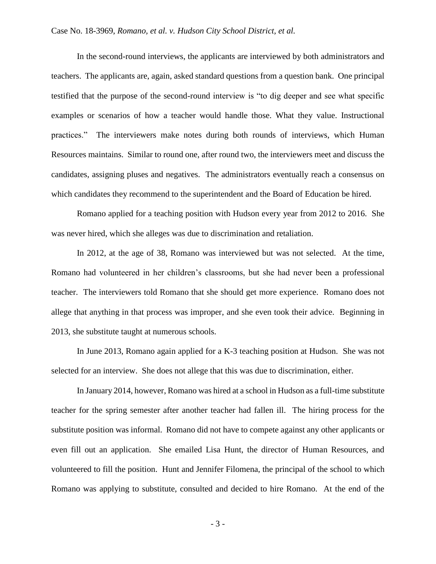## Case No. 18-3969, *Romano, et al. v. Hudson City School District, et al.*

In the second-round interviews, the applicants are interviewed by both administrators and teachers. The applicants are, again, asked standard questions from a question bank. One principal testified that the purpose of the second-round interview is "to dig deeper and see what specific examples or scenarios of how a teacher would handle those. What they value. Instructional practices." The interviewers make notes during both rounds of interviews, which Human Resources maintains. Similar to round one, after round two, the interviewers meet and discuss the candidates, assigning pluses and negatives. The administrators eventually reach a consensus on which candidates they recommend to the superintendent and the Board of Education be hired.

Romano applied for a teaching position with Hudson every year from 2012 to 2016. She was never hired, which she alleges was due to discrimination and retaliation.

In 2012, at the age of 38, Romano was interviewed but was not selected. At the time, Romano had volunteered in her children's classrooms, but she had never been a professional teacher. The interviewers told Romano that she should get more experience. Romano does not allege that anything in that process was improper, and she even took their advice. Beginning in 2013, she substitute taught at numerous schools.

In June 2013, Romano again applied for a K-3 teaching position at Hudson. She was not selected for an interview. She does not allege that this was due to discrimination, either.

In January 2014, however, Romano was hired at a school in Hudson as a full-time substitute teacher for the spring semester after another teacher had fallen ill. The hiring process for the substitute position was informal. Romano did not have to compete against any other applicants or even fill out an application. She emailed Lisa Hunt, the director of Human Resources, and volunteered to fill the position. Hunt and Jennifer Filomena, the principal of the school to which Romano was applying to substitute, consulted and decided to hire Romano. At the end of the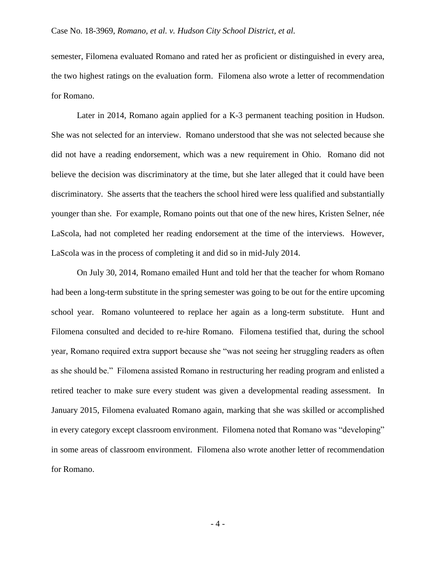## Case No. 18-3969, *Romano, et al. v. Hudson City School District, et al.*

semester, Filomena evaluated Romano and rated her as proficient or distinguished in every area, the two highest ratings on the evaluation form. Filomena also wrote a letter of recommendation for Romano.

Later in 2014, Romano again applied for a K-3 permanent teaching position in Hudson. She was not selected for an interview. Romano understood that she was not selected because she did not have a reading endorsement, which was a new requirement in Ohio. Romano did not believe the decision was discriminatory at the time, but she later alleged that it could have been discriminatory. She asserts that the teachers the school hired were less qualified and substantially younger than she. For example, Romano points out that one of the new hires, Kristen Selner, née LaScola, had not completed her reading endorsement at the time of the interviews. However, LaScola was in the process of completing it and did so in mid-July 2014.

On July 30, 2014, Romano emailed Hunt and told her that the teacher for whom Romano had been a long-term substitute in the spring semester was going to be out for the entire upcoming school year. Romano volunteered to replace her again as a long-term substitute. Hunt and Filomena consulted and decided to re-hire Romano. Filomena testified that, during the school year, Romano required extra support because she "was not seeing her struggling readers as often as she should be." Filomena assisted Romano in restructuring her reading program and enlisted a retired teacher to make sure every student was given a developmental reading assessment. In January 2015, Filomena evaluated Romano again, marking that she was skilled or accomplished in every category except classroom environment. Filomena noted that Romano was "developing" in some areas of classroom environment. Filomena also wrote another letter of recommendation for Romano.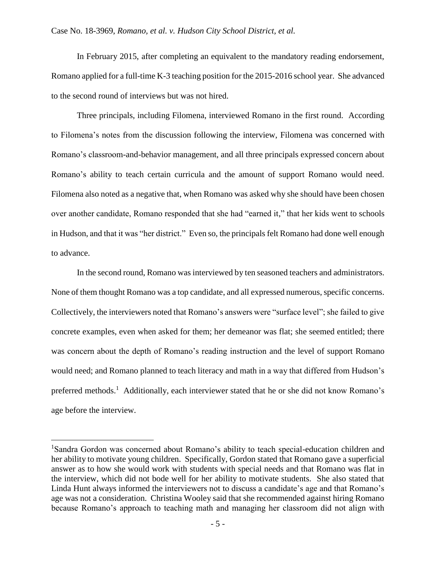In February 2015, after completing an equivalent to the mandatory reading endorsement, Romano applied for a full-time K-3 teaching position for the 2015-2016 school year. She advanced to the second round of interviews but was not hired.

Three principals, including Filomena, interviewed Romano in the first round. According to Filomena's notes from the discussion following the interview, Filomena was concerned with Romano's classroom-and-behavior management, and all three principals expressed concern about Romano's ability to teach certain curricula and the amount of support Romano would need. Filomena also noted as a negative that, when Romano was asked why she should have been chosen over another candidate, Romano responded that she had "earned it," that her kids went to schools in Hudson, and that it was "her district." Even so, the principals felt Romano had done well enough to advance.

In the second round, Romano was interviewed by ten seasoned teachers and administrators. None of them thought Romano was a top candidate, and all expressed numerous, specific concerns. Collectively, the interviewers noted that Romano's answers were "surface level"; she failed to give concrete examples, even when asked for them; her demeanor was flat; she seemed entitled; there was concern about the depth of Romano's reading instruction and the level of support Romano would need; and Romano planned to teach literacy and math in a way that differed from Hudson's preferred methods.<sup>1</sup> Additionally, each interviewer stated that he or she did not know Romano's age before the interview.

<sup>&</sup>lt;sup>1</sup>Sandra Gordon was concerned about Romano's ability to teach special-education children and her ability to motivate young children. Specifically, Gordon stated that Romano gave a superficial answer as to how she would work with students with special needs and that Romano was flat in the interview, which did not bode well for her ability to motivate students. She also stated that Linda Hunt always informed the interviewers not to discuss a candidate's age and that Romano's age was not a consideration. Christina Wooley said that she recommended against hiring Romano because Romano's approach to teaching math and managing her classroom did not align with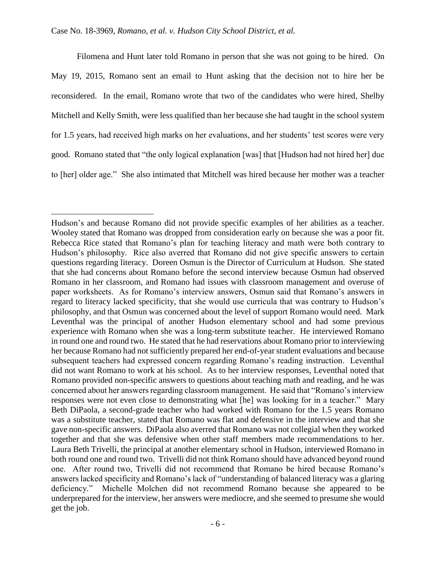$\overline{a}$ 

Filomena and Hunt later told Romano in person that she was not going to be hired. On May 19, 2015, Romano sent an email to Hunt asking that the decision not to hire her be reconsidered. In the email, Romano wrote that two of the candidates who were hired, Shelby Mitchell and Kelly Smith, were less qualified than her because she had taught in the school system for 1.5 years, had received high marks on her evaluations, and her students' test scores were very good. Romano stated that "the only logical explanation [was] that [Hudson had not hired her] due to [her] older age." She also intimated that Mitchell was hired because her mother was a teacher

Hudson's and because Romano did not provide specific examples of her abilities as a teacher. Wooley stated that Romano was dropped from consideration early on because she was a poor fit. Rebecca Rice stated that Romano's plan for teaching literacy and math were both contrary to Hudson's philosophy. Rice also averred that Romano did not give specific answers to certain questions regarding literacy. Doreen Osmun is the Director of Curriculum at Hudson. She stated that she had concerns about Romano before the second interview because Osmun had observed Romano in her classroom, and Romano had issues with classroom management and overuse of paper worksheets. As for Romano's interview answers, Osmun said that Romano's answers in regard to literacy lacked specificity, that she would use curricula that was contrary to Hudson's philosophy, and that Osmun was concerned about the level of support Romano would need. Mark Leventhal was the principal of another Hudson elementary school and had some previous experience with Romano when she was a long-term substitute teacher. He interviewed Romano in round one and round two. He stated that he had reservations about Romano prior to interviewing her because Romano had not sufficiently prepared her end-of-year student evaluations and because subsequent teachers had expressed concern regarding Romano's reading instruction. Leventhal did not want Romano to work at his school. As to her interview responses, Leventhal noted that Romano provided non-specific answers to questions about teaching math and reading, and he was concerned about her answers regarding classroom management. He said that "Romano's interview responses were not even close to demonstrating what [he] was looking for in a teacher."Mary Beth DiPaola, a second-grade teacher who had worked with Romano for the 1.5 years Romano was a substitute teacher, stated that Romano was flat and defensive in the interview and that she gave non-specific answers. DiPaola also averred that Romano was not collegial when they worked together and that she was defensive when other staff members made recommendations to her. Laura Beth Trivelli, the principal at another elementary school in Hudson, interviewed Romano in both round one and round two. Trivelli did not think Romano should have advanced beyond round one. After round two, Trivelli did not recommend that Romano be hired because Romano's answers lacked specificity and Romano's lack of "understanding of balanced literacy was a glaring deficiency." Michelle Molchen did not recommend Romano because she appeared to be underprepared for the interview, her answers were mediocre, and she seemed to presume she would get the job.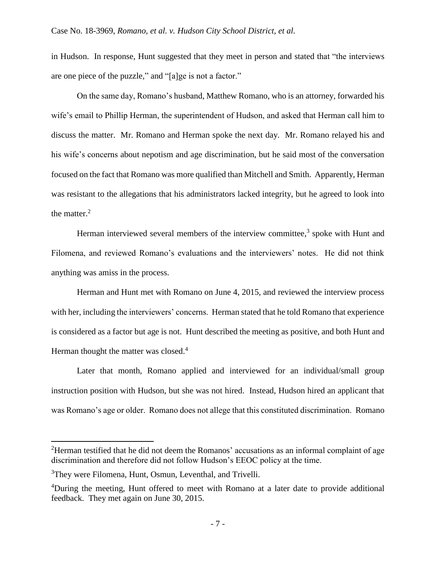in Hudson. In response, Hunt suggested that they meet in person and stated that "the interviews are one piece of the puzzle," and "[a]ge is not a factor."

On the same day, Romano's husband, Matthew Romano, who is an attorney, forwarded his wife's email to Phillip Herman, the superintendent of Hudson, and asked that Herman call him to discuss the matter. Mr. Romano and Herman spoke the next day. Mr. Romano relayed his and his wife's concerns about nepotism and age discrimination, but he said most of the conversation focused on the fact that Romano was more qualified than Mitchell and Smith. Apparently, Herman was resistant to the allegations that his administrators lacked integrity, but he agreed to look into the matter. $2$ 

Herman interviewed several members of the interview committee,<sup>3</sup> spoke with Hunt and Filomena, and reviewed Romano's evaluations and the interviewers' notes. He did not think anything was amiss in the process.

Herman and Hunt met with Romano on June 4, 2015, and reviewed the interview process with her, including the interviewers' concerns. Herman stated that he told Romano that experience is considered as a factor but age is not. Hunt described the meeting as positive, and both Hunt and Herman thought the matter was closed. $4$ 

Later that month, Romano applied and interviewed for an individual/small group instruction position with Hudson, but she was not hired. Instead, Hudson hired an applicant that was Romano's age or older. Romano does not allege that this constituted discrimination. Romano

<sup>&</sup>lt;sup>2</sup>Herman testified that he did not deem the Romanos' accusations as an informal complaint of age discrimination and therefore did not follow Hudson's EEOC policy at the time.

<sup>&</sup>lt;sup>3</sup>They were Filomena, Hunt, Osmun, Leventhal, and Trivelli.

<sup>4</sup>During the meeting, Hunt offered to meet with Romano at a later date to provide additional feedback. They met again on June 30, 2015.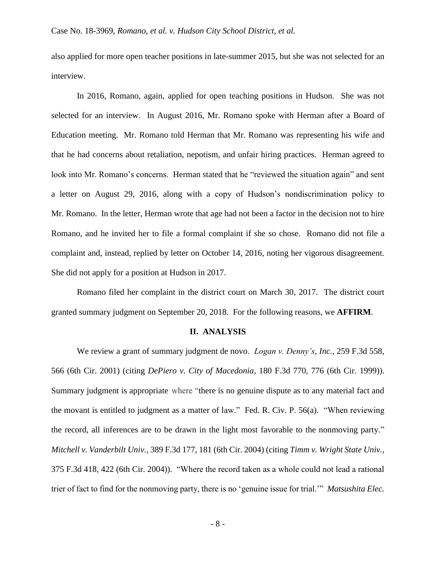also applied for more open teacher positions in late-summer 2015, but she was not selected for an interview.

In 2016, Romano, again, applied for open teaching positions in Hudson. She was not selected for an interview. In August 2016, Mr. Romano spoke with Herman after a Board of Education meeting. Mr. Romano told Herman that Mr. Romano was representing his wife and that he had concerns about retaliation, nepotism, and unfair hiring practices. Herman agreed to look into Mr. Romano's concerns. Herman stated that he "reviewed the situation again" and sent a letter on August 29, 2016, along with a copy of Hudson's nondiscrimination policy to Mr. Romano. In the letter, Herman wrote that age had not been a factor in the decision not to hire Romano, and he invited her to file a formal complaint if she so chose. Romano did not file a complaint and, instead, replied by letter on October 14, 2016, noting her vigorous disagreement. She did not apply for a position at Hudson in 2017.

Romano filed her complaint in the district court on March 30, 2017. The district court granted summary judgment on September 20, 2018. For the following reasons, we **AFFIRM**.

### **II. ANALYSIS**

We review a grant of summary judgment de novo. *Logan v. Denny's*, *Inc.*, 259 F.3d 558, 566 (6th Cir. 2001) (citing *DePiero v. City of Macedonia*, 180 F.3d 770, 776 (6th Cir. 1999)). Summary judgment is appropriate where "there is no genuine dispute as to any material fact and the movant is entitled to judgment as a matter of law." Fed. R. Civ. P. 56(a). "When reviewing the record, all inferences are to be drawn in the light most favorable to the nonmoving party." *Mitchell v. Vanderbilt Univ.*, 389 F.3d 177, 181 (6th Cir. 2004) (citing *Timm v. Wright State Univ.*, 375 F.3d 418, 422 (6th Cir. 2004)). "Where the record taken as a whole could not lead a rational trier of fact to find for the nonmoving party, there is no 'genuine issue for trial.'" *Matsushita Elec.*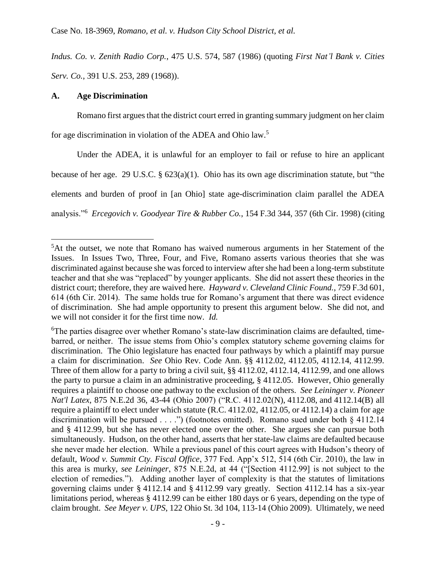*Indus. Co. v. Zenith Radio Corp.*, 475 U.S. 574, 587 (1986) (quoting *First Nat'l Bank v. Cities Serv. Co.*, 391 U.S. 253, 289 (1968)).

## **A. Age Discrimination**

 $\overline{a}$ 

Romano first argues that the district court erred in granting summary judgment on her claim for age discrimination in violation of the ADEA and Ohio law. 5

Under the ADEA, it is unlawful for an employer to fail or refuse to hire an applicant because of her age. 29 U.S.C. § 623(a)(1). Ohio has its own age discrimination statute, but "the elements and burden of proof in [an Ohio] state age-discrimination claim parallel the ADEA analysis."<sup>6</sup> *Ercegovich v. Goodyear Tire & Rubber Co.*, 154 F.3d 344, 357 (6th Cir. 1998) (citing

<sup>5</sup>At the outset, we note that Romano has waived numerous arguments in her Statement of the Issues. In Issues Two, Three, Four, and Five, Romano asserts various theories that she was discriminated against because she was forced to interview after she had been a long-term substitute teacher and that she was "replaced" by younger applicants. She did not assert these theories in the district court; therefore, they are waived here. *Hayward v. Cleveland Clinic Found.*, 759 F.3d 601, 614 (6th Cir. 2014). The same holds true for Romano's argument that there was direct evidence of discrimination. She had ample opportunity to present this argument below. She did not, and we will not consider it for the first time now. *Id.*

<sup>6</sup>The parties disagree over whether Romano's state-law discrimination claims are defaulted, timebarred, or neither. The issue stems from Ohio's complex statutory scheme governing claims for discrimination. The Ohio legislature has enacted four pathways by which a plaintiff may pursue a claim for discrimination. *See* Ohio Rev. Code Ann. §§ 4112.02, 4112.05, 4112.14, 4112.99. Three of them allow for a party to bring a civil suit, §§ 4112.02, 4112.14, 4112.99, and one allows the party to pursue a claim in an administrative proceeding, § 4112.05. However, Ohio generally requires a plaintiff to choose one pathway to the exclusion of the others. *See Leininger v. Pioneer Nat'l Latex*, 875 N.E.2d 36, 43-44 (Ohio 2007) ("R.C. 4112.02(N), 4112.08, and 4112.14(B) all require a plaintiff to elect under which statute (R.C. 4112.02, 4112.05, or 4112.14) a claim for age discrimination will be pursued . . . .") (footnotes omitted). Romano sued under both § 4112.14 and § 4112.99, but she has never elected one over the other. She argues she can pursue both simultaneously. Hudson, on the other hand, asserts that her state-law claims are defaulted because she never made her election. While a previous panel of this court agrees with Hudson's theory of default, *Wood v. Summit Cty. Fiscal Office*, 377 Fed. App'x 512, 514 (6th Cir. 2010), the law in this area is murky, *see Leininger*, 875 N.E.2d, at 44 ("[Section 4112.99] is not subject to the election of remedies."). Adding another layer of complexity is that the statutes of limitations governing claims under § 4112.14 and § 4112.99 vary greatly. Section 4112.14 has a six-year limitations period, whereas § 4112.99 can be either 180 days or 6 years, depending on the type of claim brought. *See Meyer v. UPS*, 122 Ohio St. 3d 104, 113-14 (Ohio 2009). Ultimately, we need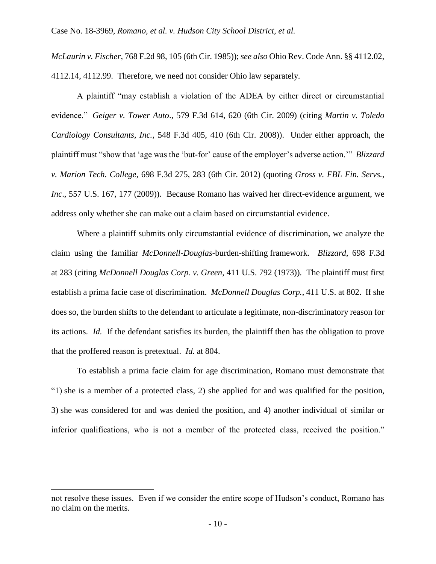*McLaurin v. Fischer*, 768 F.2d 98, 105 (6th Cir. 1985)); *see also* Ohio Rev. Code Ann. §§ 4112.02, 4112.14, 4112.99. Therefore, we need not consider Ohio law separately.

A plaintiff "may establish a violation of the ADEA by either direct or circumstantial evidence." *Geiger v. Tower Auto*., 579 F.3d 614, 620 (6th Cir. 2009) (citing *Martin v. Toledo Cardiology Consultants, Inc.*, 548 F.3d 405, 410 (6th Cir. 2008)). Under either approach, the plaintiff must "show that 'age was the 'but-for' cause of the employer's adverse action.'" *Blizzard v. Marion Tech. College*, 698 F.3d 275, 283 (6th Cir. 2012) (quoting *Gross v. FBL Fin. Servs., Inc*., 557 U.S. 167, 177 (2009)). Because Romano has waived her direct-evidence argument, we address only whether she can make out a claim based on circumstantial evidence.

Where a plaintiff submits only circumstantial evidence of discrimination, we analyze the claim using the familiar *McDonnell-Douglas*-burden-shifting framework. *Blizzard*, 698 F.3d at 283 (citing *McDonnell Douglas Corp. v. Green*, 411 U.S. 792 (1973)). The plaintiff must first establish a prima facie case of discrimination. *McDonnell Douglas Corp.*, 411 U.S. at 802. If she does so, the burden shifts to the defendant to articulate a legitimate, non-discriminatory reason for its actions. *Id.* If the defendant satisfies its burden, the plaintiff then has the obligation to prove that the proffered reason is pretextual. *Id.* at 804.

To establish a prima facie claim for age discrimination, Romano must demonstrate that "1) she is a member of a protected class, 2) she applied for and was qualified for the position, 3) she was considered for and was denied the position, and 4) another individual of similar or inferior qualifications, who is not a member of the protected class, received the position."

not resolve these issues. Even if we consider the entire scope of Hudson's conduct, Romano has no claim on the merits.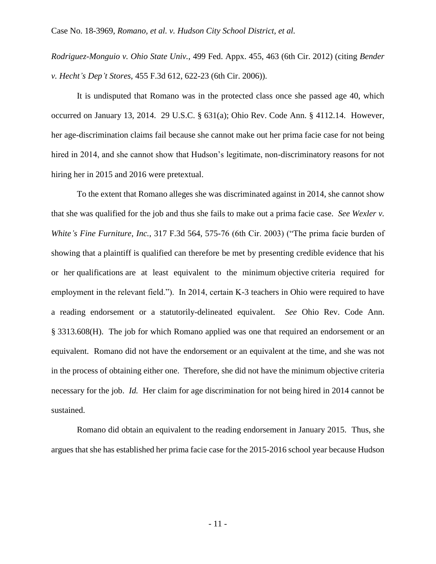*Rodriguez-Monguio v. Ohio State Univ.*, 499 Fed. Appx. 455, 463 (6th Cir. 2012) (citing *Bender v. Hecht's Dep't Stores*, 455 F.3d 612, 622-23 (6th Cir. 2006)).

It is undisputed that Romano was in the protected class once she passed age 40, which occurred on January 13, 2014. 29 U.S.C. § 631(a); Ohio Rev. Code Ann. § 4112.14. However, her age-discrimination claims fail because she cannot make out her prima facie case for not being hired in 2014, and she cannot show that Hudson's legitimate, non-discriminatory reasons for not hiring her in 2015 and 2016 were pretextual.

To the extent that Romano alleges she was discriminated against in 2014, she cannot show that she was qualified for the job and thus she fails to make out a prima facie case. *See Wexler v. White's Fine Furniture*, *Inc.*, 317 F.3d 564, 575-76 (6th Cir. 2003) ("The prima facie burden of showing that a plaintiff is qualified can therefore be met by presenting credible evidence that his or her qualifications are at least equivalent to the minimum objective criteria required for employment in the relevant field."). In 2014, certain K-3 teachers in Ohio were required to have a reading endorsement or a statutorily-delineated equivalent. *See* Ohio Rev. Code Ann. § 3313.608(H). The job for which Romano applied was one that required an endorsement or an equivalent. Romano did not have the endorsement or an equivalent at the time, and she was not in the process of obtaining either one. Therefore, she did not have the minimum objective criteria necessary for the job. *Id.* Her claim for age discrimination for not being hired in 2014 cannot be sustained.

Romano did obtain an equivalent to the reading endorsement in January 2015. Thus, she argues that she has established her prima facie case for the 2015-2016 school year because Hudson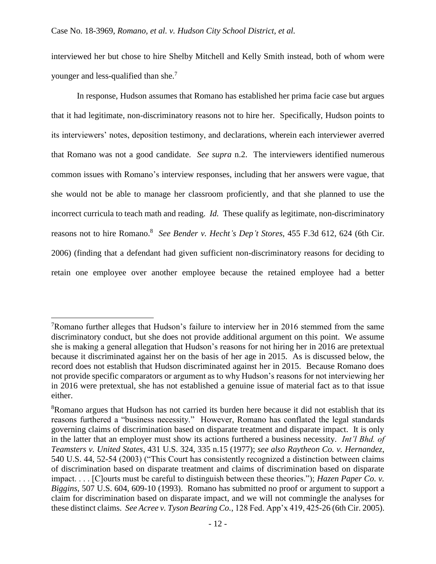interviewed her but chose to hire Shelby Mitchell and Kelly Smith instead, both of whom were younger and less-qualified than she.<sup>7</sup>

In response, Hudson assumes that Romano has established her prima facie case but argues that it had legitimate, non-discriminatory reasons not to hire her. Specifically, Hudson points to its interviewers' notes, deposition testimony, and declarations, wherein each interviewer averred that Romano was not a good candidate. *See supra* n.2. The interviewers identified numerous common issues with Romano's interview responses, including that her answers were vague, that she would not be able to manage her classroom proficiently, and that she planned to use the incorrect curricula to teach math and reading. *Id.* These qualify as legitimate, non-discriminatory reasons not to hire Romano. 8 *See Bender v. Hecht's Dep't Stores*, 455 F.3d 612, 624 (6th Cir. 2006) (finding that a defendant had given sufficient non-discriminatory reasons for deciding to retain one employee over another employee because the retained employee had a better

 $7R$ omano further alleges that Hudson's failure to interview her in 2016 stemmed from the same discriminatory conduct, but she does not provide additional argument on this point. We assume she is making a general allegation that Hudson's reasons for not hiring her in 2016 are pretextual because it discriminated against her on the basis of her age in 2015. As is discussed below, the record does not establish that Hudson discriminated against her in 2015. Because Romano does not provide specific comparators or argument as to why Hudson's reasons for not interviewing her in 2016 were pretextual, she has not established a genuine issue of material fact as to that issue either.

<sup>&</sup>lt;sup>8</sup>Romano argues that Hudson has not carried its burden here because it did not establish that its reasons furthered a "business necessity." However, Romano has conflated the legal standards governing claims of discrimination based on disparate treatment and disparate impact. It is only in the latter that an employer must show its actions furthered a business necessity. *Int'l Bhd. of Teamsters v. United States*, 431 U.S. 324, 335 n.15 (1977); *see also Raytheon Co. v. Hernandez*, 540 U.S. 44, 52-54 (2003) ("This Court has consistently recognized a distinction between claims of discrimination based on disparate treatment and claims of discrimination based on disparate impact. . . . [C]ourts must be careful to distinguish between these theories."); *Hazen Paper Co. v. Biggins*, 507 U.S. 604, 609-10 (1993). Romano has submitted no proof or argument to support a claim for discrimination based on disparate impact, and we will not commingle the analyses for these distinct claims. *See Acree v. Tyson Bearing Co.*, 128 Fed. App'x 419, 425-26 (6th Cir. 2005).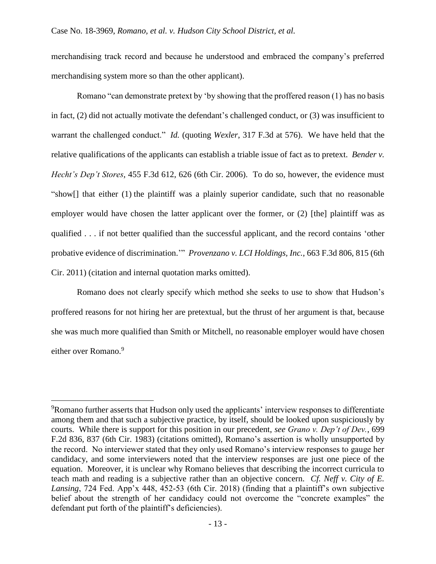merchandising track record and because he understood and embraced the company's preferred merchandising system more so than the other applicant).

Romano "can demonstrate pretext by 'by showing that the proffered reason (1) has no basis in fact, (2) did not actually motivate the defendant's challenged conduct, or (3) was insufficient to warrant the challenged conduct." *Id.* (quoting *Wexler*, 317 F.3d at 576). We have held that the relative qualifications of the applicants can establish a triable issue of fact as to pretext. *Bender v. Hecht's Dep't Stores*, 455 F.3d 612, 626 (6th Cir. 2006). To do so, however, the evidence must "show[] that either (1) the plaintiff was a plainly superior candidate, such that no reasonable employer would have chosen the latter applicant over the former, or (2) [the] plaintiff was as qualified . . . if not better qualified than the successful applicant, and the record contains 'other probative evidence of discrimination.'" *Provenzano v. LCI Holdings, Inc.*, 663 F.3d 806, 815 (6th Cir. 2011) (citation and internal quotation marks omitted).

Romano does not clearly specify which method she seeks to use to show that Hudson's proffered reasons for not hiring her are pretextual, but the thrust of her argument is that, because she was much more qualified than Smith or Mitchell, no reasonable employer would have chosen either over Romano.<sup>9</sup>

<sup>9</sup>Romano further asserts that Hudson only used the applicants' interview responses to differentiate among them and that such a subjective practice, by itself, should be looked upon suspiciously by courts. While there is support for this position in our precedent, *see Grano v. Dep't of Dev.*, 699 F.2d 836, 837 (6th Cir. 1983) (citations omitted), Romano's assertion is wholly unsupported by the record. No interviewer stated that they only used Romano's interview responses to gauge her candidacy, and some interviewers noted that the interview responses are just one piece of the equation. Moreover, it is unclear why Romano believes that describing the incorrect curricula to teach math and reading is a subjective rather than an objective concern. *Cf. Neff v. City of E. Lansing*, 724 Fed. App'x 448, 452-53 (6th Cir. 2018) (finding that a plaintiff's own subjective belief about the strength of her candidacy could not overcome the "concrete examples" the defendant put forth of the plaintiff's deficiencies).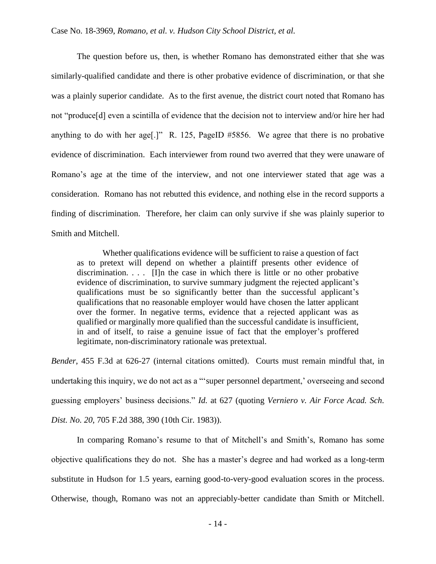The question before us, then, is whether Romano has demonstrated either that she was similarly-qualified candidate and there is other probative evidence of discrimination, or that she was a plainly superior candidate. As to the first avenue, the district court noted that Romano has not "produce[d] even a scintilla of evidence that the decision not to interview and/or hire her had anything to do with her age[.]" R. 125, PageID #5856. We agree that there is no probative evidence of discrimination. Each interviewer from round two averred that they were unaware of Romano's age at the time of the interview, and not one interviewer stated that age was a consideration. Romano has not rebutted this evidence, and nothing else in the record supports a finding of discrimination. Therefore, her claim can only survive if she was plainly superior to Smith and Mitchell.

Whether qualifications evidence will be sufficient to raise a question of fact as to pretext will depend on whether a plaintiff presents other evidence of discrimination.  $\ldots$  [I]n the case in which there is little or no other probative evidence of discrimination, to survive summary judgment the rejected applicant's qualifications must be so significantly better than the successful applicant's qualifications that no reasonable employer would have chosen the latter applicant over the former. In negative terms, evidence that a rejected applicant was as qualified or marginally more qualified than the successful candidate is insufficient, in and of itself, to raise a genuine issue of fact that the employer's proffered legitimate, non-discriminatory rationale was pretextual.

*Bender*, 455 F.3d at 626-27 (internal citations omitted). Courts must remain mindful that, in undertaking this inquiry, we do not act as a "'super personnel department,' overseeing and second guessing employers' business decisions." *Id.* at 627 (quoting *Verniero v. Air Force Acad. Sch. Dist. No. 20*, 705 F.2d 388, 390 (10th Cir. 1983)).

In comparing Romano's resume to that of Mitchell's and Smith's, Romano has some objective qualifications they do not. She has a master's degree and had worked as a long-term substitute in Hudson for 1.5 years, earning good-to-very-good evaluation scores in the process. Otherwise, though, Romano was not an appreciably-better candidate than Smith or Mitchell.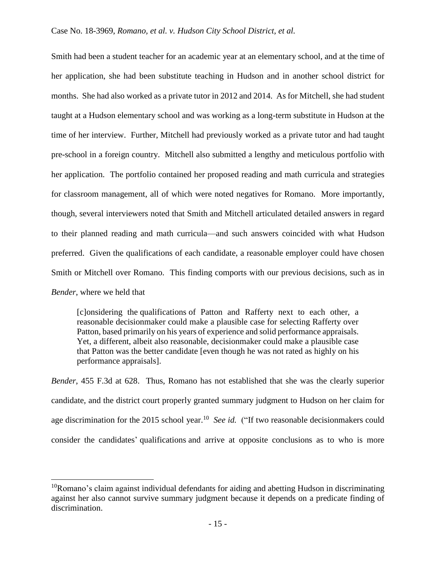Smith had been a student teacher for an academic year at an elementary school, and at the time of her application, she had been substitute teaching in Hudson and in another school district for months. She had also worked as a private tutor in 2012 and 2014. As for Mitchell, she had student taught at a Hudson elementary school and was working as a long-term substitute in Hudson at the time of her interview. Further, Mitchell had previously worked as a private tutor and had taught pre-school in a foreign country. Mitchell also submitted a lengthy and meticulous portfolio with her application. The portfolio contained her proposed reading and math curricula and strategies for classroom management, all of which were noted negatives for Romano. More importantly, though, several interviewers noted that Smith and Mitchell articulated detailed answers in regard to their planned reading and math curricula—and such answers coincided with what Hudson preferred.Given the qualifications of each candidate, a reasonable employer could have chosen Smith or Mitchell over Romano. This finding comports with our previous decisions, such as in *Bender*, where we held that

[c]onsidering the qualifications of Patton and Rafferty next to each other, a reasonable decisionmaker could make a plausible case for selecting Rafferty over Patton, based primarily on his years of experience and solid performance appraisals. Yet, a different, albeit also reasonable, decisionmaker could make a plausible case that Patton was the better candidate [even though he was not rated as highly on his performance appraisals].

*Bender*, 455 F.3d at 628. Thus, Romano has not established that she was the clearly superior candidate, and the district court properly granted summary judgment to Hudson on her claim for age discrimination for the 2015 school year. <sup>10</sup> *See id.* ("If two reasonable decisionmakers could consider the candidates' qualifications and arrive at opposite conclusions as to who is more

 $10$ Romano's claim against individual defendants for aiding and abetting Hudson in discriminating against her also cannot survive summary judgment because it depends on a predicate finding of discrimination.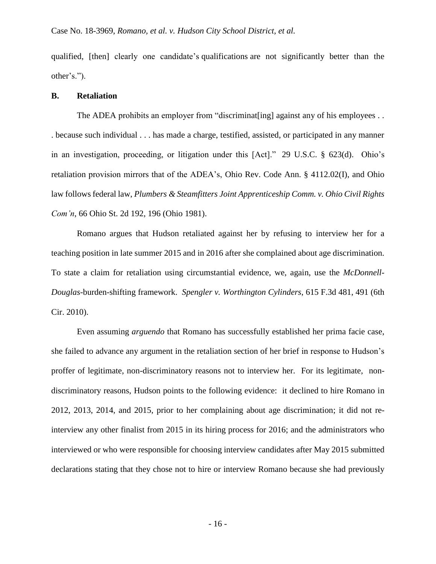qualified, [then] clearly one candidate's qualifications are not significantly better than the other's.").

#### **B. Retaliation**

The ADEA prohibits an employer from "discriminat [ing] against any of his employees ... . because such individual . . . has made a charge, testified, assisted, or participated in any manner in an investigation, proceeding, or litigation under this [Act]." 29 U.S.C. § 623(d). Ohio's retaliation provision mirrors that of the ADEA's, Ohio Rev. Code Ann. § 4112.02(I), and Ohio law follows federal law, *Plumbers & Steamfitters Joint Apprenticeship Comm. v. Ohio Civil Rights Com'n*, 66 Ohio St. 2d 192, 196 (Ohio 1981).

Romano argues that Hudson retaliated against her by refusing to interview her for a teaching position in late summer 2015 and in 2016 after she complained about age discrimination. To state a claim for retaliation using circumstantial evidence, we, again, use the *McDonnell-Douglas*-burden-shifting framework. *Spengler v. Worthington Cylinders*, 615 F.3d 481, 491 (6th Cir. 2010).

Even assuming *arguendo* that Romano has successfully established her prima facie case, she failed to advance any argument in the retaliation section of her brief in response to Hudson's proffer of legitimate, non-discriminatory reasons not to interview her. For its legitimate, nondiscriminatory reasons, Hudson points to the following evidence: it declined to hire Romano in 2012, 2013, 2014, and 2015, prior to her complaining about age discrimination; it did not reinterview any other finalist from 2015 in its hiring process for 2016; and the administrators who interviewed or who were responsible for choosing interview candidates after May 2015 submitted declarations stating that they chose not to hire or interview Romano because she had previously